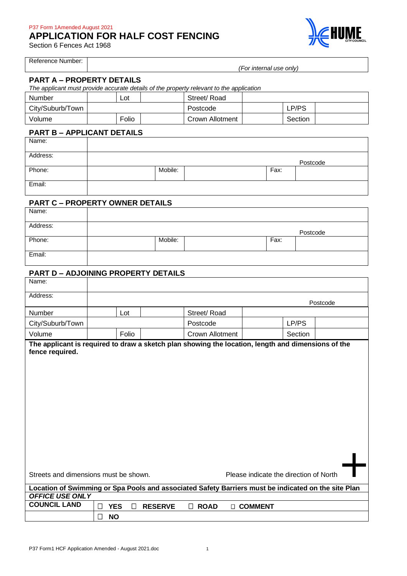### P37 Form 1Amended August 2021

# **APPLICATION FOR HALF COST FENCING**

Section 6 Fences Act 1968



Reference Number:

|  |  |  | (For internal use only) |  |
|--|--|--|-------------------------|--|
|--|--|--|-------------------------|--|

# **PART A – PROPERTY DETAILS**

|                                            |  | The applicant must provide accurate details of the property relevant to the application |         |  |  |  |
|--------------------------------------------|--|-----------------------------------------------------------------------------------------|---------|--|--|--|
| Number<br>Lot                              |  | Street/Road                                                                             |         |  |  |  |
| City/Suburb/Town                           |  | Postcode                                                                                | LP/PS   |  |  |  |
| Folio<br>Volume                            |  | Crown Allotment                                                                         | Section |  |  |  |
| <b>PART B - APPLICANT DETAILS</b><br>Name: |  |                                                                                         |         |  |  |  |

| $1$ Yallig. |         |      |          |
|-------------|---------|------|----------|
| Address:    |         |      | Postcode |
| Phone:      | Mobile: | Fax: |          |
| Email:      |         |      |          |

### **PART C – PROPERTY OWNER DETAILS**

| Name:    |         |      |          |
|----------|---------|------|----------|
| Address: |         |      | Postcode |
| Phone:   | Mobile: | Fax: |          |
|          |         |      |          |
| Email:   |         |      |          |

# **PART D – ADJOINING PROPERTY DETAILS**

| Name:                                                                                               |                      |                          |                 |                          |          |  |
|-----------------------------------------------------------------------------------------------------|----------------------|--------------------------|-----------------|--------------------------|----------|--|
| Address:                                                                                            |                      |                          |                 |                          | Postcode |  |
| Number                                                                                              | Lot                  |                          | Street/Road     |                          |          |  |
| City/Suburb/Town                                                                                    |                      |                          | Postcode        |                          | LP/PS    |  |
| Volume                                                                                              | Folio                |                          | Crown Allotment |                          | Section  |  |
| The applicant is required to draw a sketch plan showing the location, length and dimensions of the  |                      |                          |                 |                          |          |  |
| fence required.                                                                                     |                      |                          |                 |                          |          |  |
|                                                                                                     |                      |                          |                 |                          |          |  |
|                                                                                                     |                      |                          |                 |                          |          |  |
|                                                                                                     |                      |                          |                 |                          |          |  |
|                                                                                                     |                      |                          |                 |                          |          |  |
|                                                                                                     |                      |                          |                 |                          |          |  |
|                                                                                                     |                      |                          |                 |                          |          |  |
|                                                                                                     |                      |                          |                 |                          |          |  |
|                                                                                                     |                      |                          |                 |                          |          |  |
|                                                                                                     |                      |                          |                 |                          |          |  |
|                                                                                                     |                      |                          |                 |                          |          |  |
|                                                                                                     |                      |                          |                 |                          |          |  |
|                                                                                                     |                      |                          |                 |                          |          |  |
| Please indicate the direction of North<br>Streets and dimensions must be shown.                     |                      |                          |                 |                          |          |  |
| Location of Swimming or Spa Pools and associated Safety Barriers must be indicated on the site Plan |                      |                          |                 |                          |          |  |
| <b>OFFICE USE ONLY</b>                                                                              |                      |                          |                 |                          |          |  |
| <b>COUNCIL LAND</b>                                                                                 | <b>YES</b><br>П<br>П | <b>RESERVE</b><br>$\Box$ | <b>ROAD</b>     | <b>COMMENT</b><br>$\Box$ |          |  |
|                                                                                                     | <b>NO</b><br>П       |                          |                 |                          |          |  |